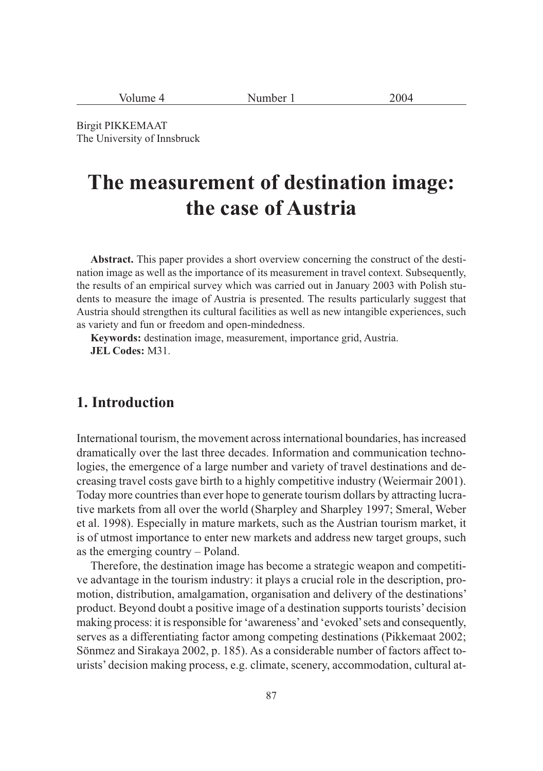| Volume 4 | 2004<br>Number |  |
|----------|----------------|--|
|----------|----------------|--|

Birgit PIKKEMAAT The University of Innsbruck

# **The measurement of destination image: the case of Austria**

**Abstract.** This paper provides a short overview concerning the construct of the destination image as well as the importance of its measurement in travel context. Subsequently, the results of an empirical survey which was carried out in January 2003 with Polish students to measure the image of Austria is presented. The results particularly suggest that Austria should strengthen its cultural facilities as well as new intangible experiences, such as variety and fun or freedom and open-mindedness.

**Keywords:** destination image, measurement, importance grid, Austria. **JEL Codes:** M31.

#### **1. Introduction**

International tourism, the movement across international boundaries, has increased dramatically over the last three decades. Information and communication technologies, the emergence of a large number and variety of travel destinations and decreasing travel costs gave birth to a highly competitive industry (Weiermair 2001). Today more countries than ever hope to generate tourism dollars by attracting lucrative markets from all over the world (Sharpley and Sharpley 1997; Smeral, Weber et al. 1998). Especially in mature markets, such as the Austrian tourism market, it is of utmost importance to enter new markets and address new target groups, such as the emerging country – Poland.

Therefore, the destination image has become a strategic weapon and competitive advantage in the tourism industry: it plays a crucial role in the description, promotion, distribution, amalgamation, organisation and delivery of the destinations' product. Beyond doubt a positive image of a destination supports tourists' decision making process: it is responsible for 'awareness' and 'evoked' sets and consequently, serves as a differentiating factor among competing destinations (Pikkemaat 2002; Sönmez and Sirakaya 2002, p. 185). As a considerable number of factors affect tourists' decision making process, e.g. climate, scenery, accommodation, cultural at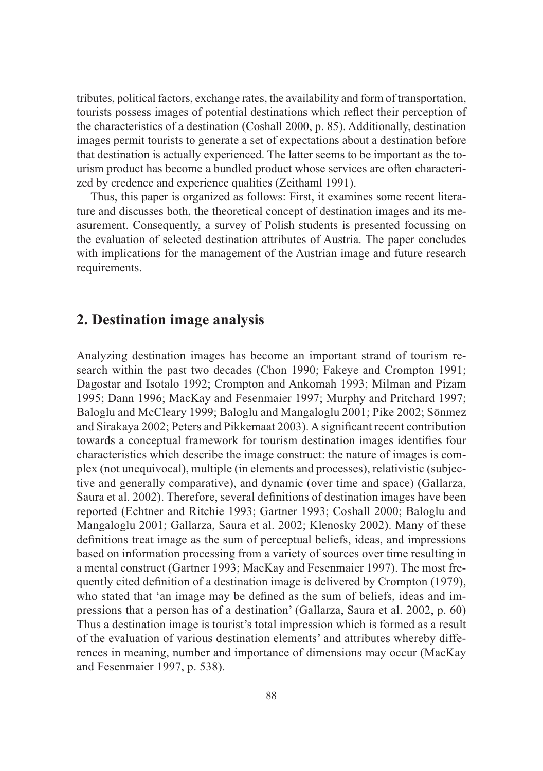tributes, political factors, exchange rates, the availability and form of transportation, tourists possess images of potential destinations which reflect their perception of the characteristics of a destination (Coshall 2000, p. 85). Additionally, destination images permit tourists to generate a set of expectations about a destination before that destination is actually experienced. The latter seems to be important as the tourism product has become a bundled product whose services are often characterized by credence and experience qualities (Zeithaml 1991).

Thus, this paper is organized as follows: First, it examines some recent literature and discusses both, the theoretical concept of destination images and its measurement. Consequently, a survey of Polish students is presented focussing on the evaluation of selected destination attributes of Austria. The paper concludes with implications for the management of the Austrian image and future research requirements.

# **2. Destination image analysis**

Analyzing destination images has become an important strand of tourism research within the past two decades (Chon 1990; Fakeye and Crompton 1991; Dagostar and Isotalo 1992; Crompton and Ankomah 1993; Milman and Pizam 1995; Dann 1996; MacKay and Fesenmaier 1997; Murphy and Pritchard 1997; Baloglu and McCleary 1999; Baloglu and Mangaloglu 2001; Pike 2002; Sönmez and Sirakaya 2002; Peters and Pikkemaat 2003). A significant recent contribution towards a conceptual framework for tourism destination images identifies four characteristics which describe the image construct: the nature of images is complex (not unequivocal), multiple (in elements and processes), relativistic (subjective and generally comparative), and dynamic (over time and space) (Gallarza, Saura et al. 2002). Therefore, several definitions of destination images have been reported (Echtner and Ritchie 1993; Gartner 1993; Coshall 2000; Baloglu and Mangaloglu 2001; Gallarza, Saura et al. 2002; Klenosky 2002). Many of these definitions treat image as the sum of perceptual beliefs, ideas, and impressions based on information processing from a variety of sources over time resulting in a mental construct (Gartner 1993; MacKay and Fesenmaier 1997). The most frequently cited definition of a destination image is delivered by Crompton (1979), who stated that 'an image may be defined as the sum of beliefs, ideas and impressions that a person has of a destination' (Gallarza, Saura et al. 2002, p. 60) Thus a destination image is tourist's total impression which is formed as a result of the evaluation of various destination elements' and attributes whereby differences in meaning, number and importance of dimensions may occur (MacKay and Fesenmaier 1997, p. 538).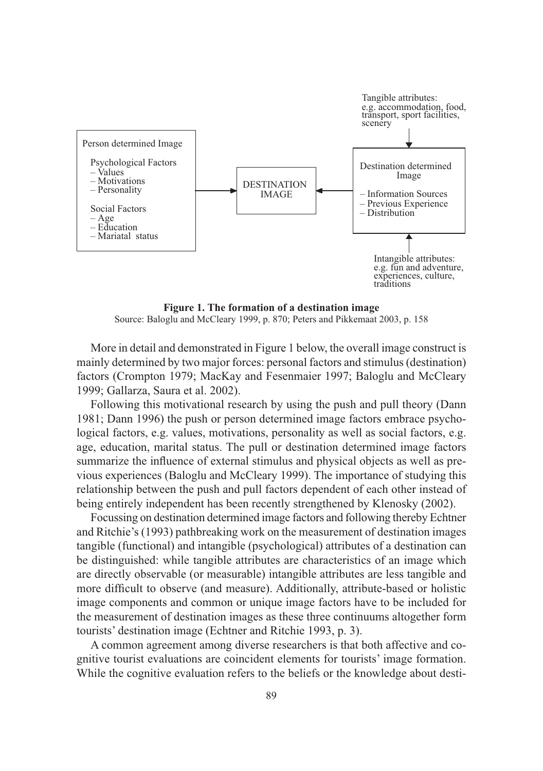

**Figure 1. The formation of a destination image** Source: Baloglu and McCleary 1999, p. 870; Peters and Pikkemaat 2003, p. 158

More in detail and demonstrated in Figure 1 below, the overall image construct is mainly determined by two major forces: personal factors and stimulus (destination) factors (Crompton 1979; MacKay and Fesenmaier 1997; Baloglu and McCleary 1999; Gallarza, Saura et al. 2002).

Following this motivational research by using the push and pull theory (Dann 1981; Dann 1996) the push or person determined image factors embrace psychological factors, e.g. values, motivations, personality as well as social factors, e.g. age, education, marital status. The pull or destination determined image factors summarize the influence of external stimulus and physical objects as well as previous experiences (Baloglu and McCleary 1999). The importance of studying this relationship between the push and pull factors dependent of each other instead of being entirely independent has been recently strengthened by Klenosky (2002).

Focussing on destination determined image factors and following thereby Echtner and Ritchie's (1993) pathbreaking work on the measurement of destination images tangible (functional) and intangible (psychological) attributes of a destination can be distinguished: while tangible attributes are characteristics of an image which are directly observable (or measurable) intangible attributes are less tangible and more difficult to observe (and measure). Additionally, attribute-based or holistic image components and common or unique image factors have to be included for the measurement of destination images as these three continuums altogether form tourists' destination image (Echtner and Ritchie 1993, p. 3).

A common agreement among diverse researchers is that both affective and cognitive tourist evaluations are coincident elements for tourists' image formation. While the cognitive evaluation refers to the beliefs or the knowledge about desti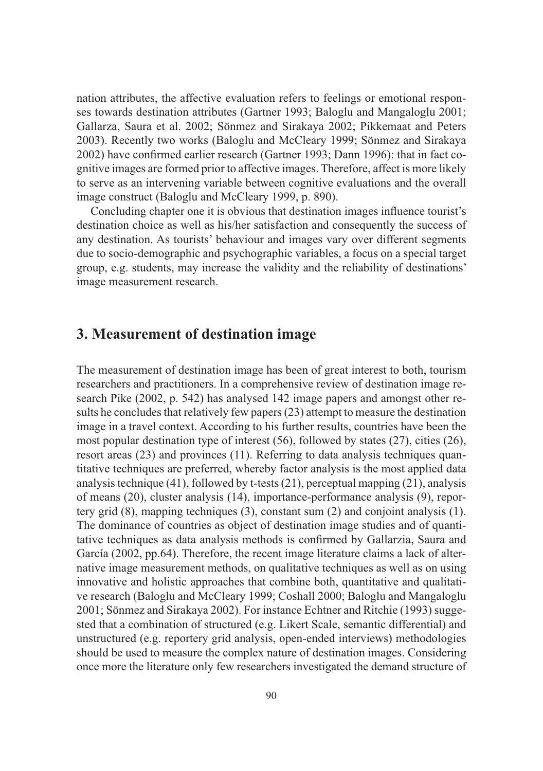nation attributes, the affective evaluation refers to feelings or emotional responses towards destination attributes (Gartner 1993; Baloglu and Mangaloglu 2001; Gallarza, Saura et al. 2002; Sönmez and Sirakaya 2002; Pikkemaat and Peters 2003). Recently two works (Baloglu and McCleary 1999; Sönmez and Sirakaya 2002) have confirmed earlier research (Gartner 1993; Dann 1996): that in fact cognitive images are formed prior to affective images. Therefore, affect is more likely to serve as an intervening variable between cognitive evaluations and the overall image construct (Baloglu and McCleary 1999, p. 890).

Concluding chapter one it is obvious that destination images influence tourist's destination choice as well as his/her satisfaction and consequently the success of any destination. As tourists' behaviour and images vary over different segments due to socio-demographic and psychographic variables, a focus on a special target group, e.g. students, may increase the validity and the reliability of destinations' image measurement research.

# **3. Measurement of destination image**

The measurement of destination image has been of great interest to both, tourism researchers and practitioners. In a comprehensive review of destination image research Pike (2002, p. 542) has analysed 142 image papers and amongst other results he concludes that relatively few papers (23) attempt to measure the destination image in a travel context. According to his further results, countries have been the most popular destination type of interest (56), followed by states (27), cities (26), resort areas (23) and provinces (11). Referring to data analysis techniques quantitative techniques are preferred, whereby factor analysis is the most applied data analysis technique (41), followed by t-tests (21), perceptual mapping (21), analysis of means (20), cluster analysis (14), importance-performance analysis (9), reportery grid (8), mapping techniques (3), constant sum (2) and conjoint analysis (1). The dominance of countries as object of destination image studies and of quantitative techniques as data analysis methods is confirmed by Gallarzia, Saura and García (2002, pp.64). Therefore, the recent image literature claims a lack of alternative image measurement methods, on qualitative techniques as well as on using innovative and holistic approaches that combine both, quantitative and qualitative research (Baloglu and McCleary 1999; Coshall 2000; Baloglu and Mangaloglu 2001; Sönmez and Sirakaya 2002). For instance Echtner and Ritchie (1993) suggested that a combination of structured (e.g. Likert Scale, semantic differential) and unstructured (e.g. reportery grid analysis, open-ended interviews) methodologies should be used to measure the complex nature of destination images. Considering once more the literature only few researchers investigated the demand structure of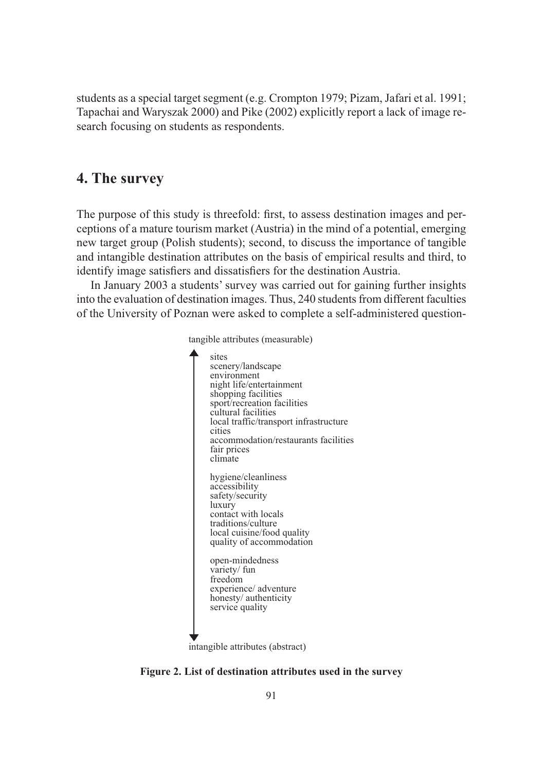students as a special target segment (e.g. Crompton 1979; Pizam, Jafari et al. 1991; Tapachai and Waryszak 2000) and Pike (2002) explicitly report a lack of image research focusing on students as respondents.

## **4. The survey**

The purpose of this study is threefold: first, to assess destination images and perceptions of a mature tourism market (Austria) in the mind of a potential, emerging new target group (Polish students); second, to discuss the importance of tangible and intangible destination attributes on the basis of empirical results and third, to identify image satisfiers and dissatisfiers for the destination Austria.

In January 2003 a students' survey was carried out for gaining further insights into the evaluation of destination images. Thus, 240 students from different faculties of the University of Poznan were asked to complete a self-administered question-



**Figure 2. List of destination attributes used in the survey**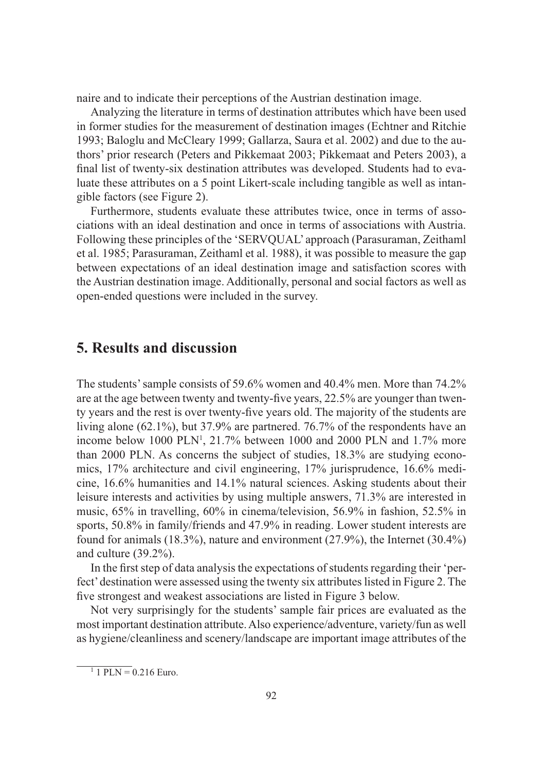naire and to indicate their perceptions of the Austrian destination image.

Analyzing the literature in terms of destination attributes which have been used in former studies for the measurement of destination images (Echtner and Ritchie 1993; Baloglu and McCleary 1999; Gallarza, Saura et al. 2002) and due to the authors' prior research (Peters and Pikkemaat 2003; Pikkemaat and Peters 2003), a final list of twenty-six destination attributes was developed. Students had to evaluate these attributes on a 5 point Likert-scale including tangible as well as intangible factors (see Figure 2).

Furthermore, students evaluate these attributes twice, once in terms of associations with an ideal destination and once in terms of associations with Austria. Following these principles of the 'SERVQUAL' approach (Parasuraman, Zeithaml et al. 1985; Parasuraman, Zeithaml et al. 1988), it was possible to measure the gap between expectations of an ideal destination image and satisfaction scores with the Austrian destination image. Additionally, personal and social factors as well as open-ended questions were included in the survey.

### **5. Results and discussion**

The students' sample consists of 59.6% women and 40.4% men. More than 74.2% are at the age between twenty and twenty-five years, 22.5% are younger than twenty years and the rest is over twenty-five years old. The majority of the students are living alone (62.1%), but 37.9% are partnered. 76.7% of the respondents have an income below 1000 PLN<sup>1</sup>, 21.7% between 1000 and 2000 PLN and 1.7% more than 2000 PLN. As concerns the subject of studies, 18.3% are studying economics, 17% architecture and civil engineering, 17% jurisprudence, 16.6% medicine, 16.6% humanities and 14.1% natural sciences. Asking students about their leisure interests and activities by using multiple answers, 71.3% are interested in music, 65% in travelling, 60% in cinema/television, 56.9% in fashion, 52.5% in sports, 50.8% in family/friends and 47.9% in reading. Lower student interests are found for animals (18.3%), nature and environment (27.9%), the Internet (30.4%) and culture (39.2%).

In the first step of data analysis the expectations of students regarding their 'perfect' destination were assessed using the twenty six attributes listed in Figure 2. The five strongest and weakest associations are listed in Figure 3 below.

Not very surprisingly for the students' sample fair prices are evaluated as the most important destination attribute. Also experience/adventure, variety/fun as well as hygiene/cleanliness and scenery/landscape are important image attributes of the

 $1$  PLN = 0.216 Euro.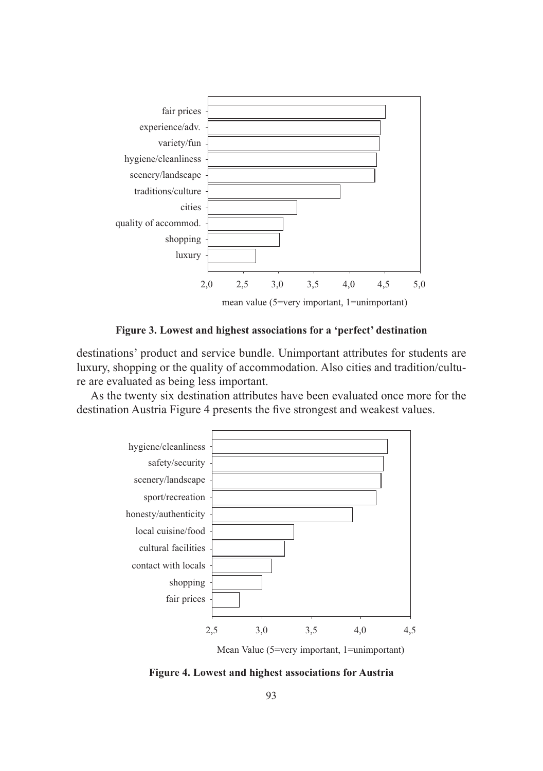

**Figure 3. Lowest and highest associations for a 'perfect' destination**

destinations' product and service bundle. Unimportant attributes for students are luxury, shopping or the quality of accommodation. Also cities and tradition/culture are evaluated as being less important.

As the twenty six destination attributes have been evaluated once more for the destination Austria Figure 4 presents the five strongest and weakest values.



Mean Value (5=very important, 1=unimportant)

**Figure 4. Lowest and highest associations for Austria**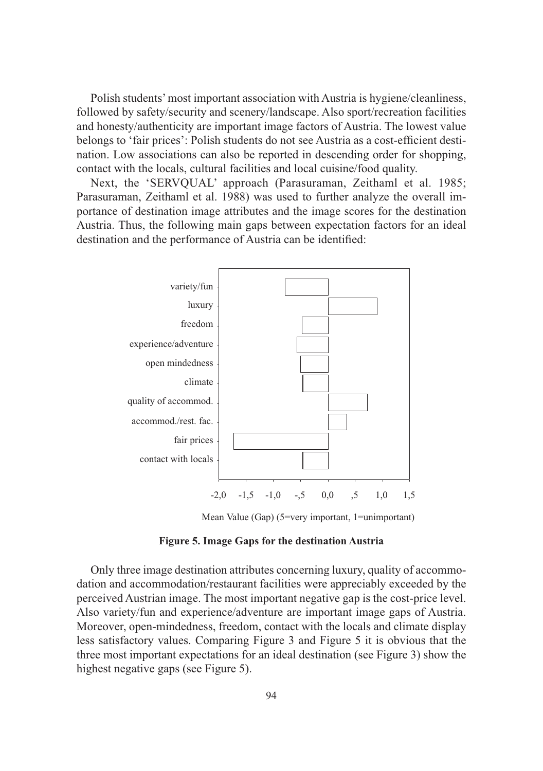Polish students' most important association with Austria is hygiene/cleanliness, followed by safety/security and scenery/landscape. Also sport/recreation facilities and honesty/authenticity are important image factors of Austria. The lowest value belongs to 'fair prices': Polish students do not see Austria as a cost-efficient destination. Low associations can also be reported in descending order for shopping, contact with the locals, cultural facilities and local cuisine/food quality.

Next, the 'SERVQUAL' approach (Parasuraman, Zeithaml et al. 1985; Parasuraman, Zeithaml et al. 1988) was used to further analyze the overall importance of destination image attributes and the image scores for the destination Austria. Thus, the following main gaps between expectation factors for an ideal destination and the performance of Austria can be identified:



**Figure 5. Image Gaps for the destination Austria**

Only three image destination attributes concerning luxury, quality of accommodation and accommodation/restaurant facilities were appreciably exceeded by the perceived Austrian image. The most important negative gap is the cost-price level. Also variety/fun and experience/adventure are important image gaps of Austria. Moreover, open-mindedness, freedom, contact with the locals and climate display less satisfactory values. Comparing Figure 3 and Figure 5 it is obvious that the three most important expectations for an ideal destination (see Figure 3) show the highest negative gaps (see Figure 5).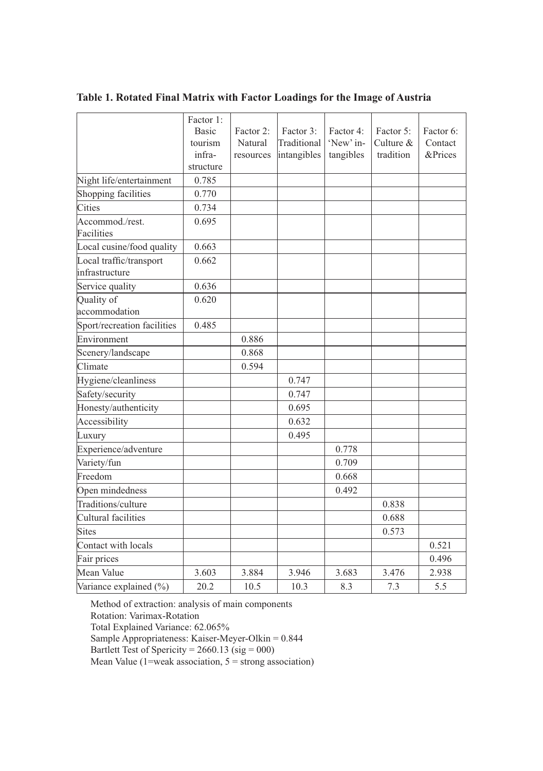|                                           | Factor 1:    |           |             |           |           |           |
|-------------------------------------------|--------------|-----------|-------------|-----------|-----------|-----------|
|                                           | <b>Basic</b> | Factor 2: | Factor 3:   | Factor 4: | Factor 5: | Factor 6: |
|                                           | tourism      | Natural   | Traditional | 'New' in- | Culture & | Contact   |
|                                           | infra-       | resources | intangibles | tangibles | tradition | &Prices   |
|                                           | structure    |           |             |           |           |           |
| Night life/entertainment                  | 0.785        |           |             |           |           |           |
| Shopping facilities                       | 0.770        |           |             |           |           |           |
| Cities                                    | 0.734        |           |             |           |           |           |
| Accommod./rest.<br>Facilities             | 0.695        |           |             |           |           |           |
| Local cusine/food quality                 | 0.663        |           |             |           |           |           |
| Local traffic/transport<br>infrastructure | 0.662        |           |             |           |           |           |
| Service quality                           | 0.636        |           |             |           |           |           |
| Quality of                                | 0.620        |           |             |           |           |           |
| accommodation                             |              |           |             |           |           |           |
| Sport/recreation facilities               | 0.485        |           |             |           |           |           |
| Environment                               |              | 0.886     |             |           |           |           |
| Scenery/landscape                         |              | 0.868     |             |           |           |           |
| Climate                                   |              | 0.594     |             |           |           |           |
| Hygiene/cleanliness                       |              |           | 0.747       |           |           |           |
| Safety/security                           |              |           | 0.747       |           |           |           |
| Honesty/authenticity                      |              |           | 0.695       |           |           |           |
| Accessibility                             |              |           | 0.632       |           |           |           |
| Luxury                                    |              |           | 0.495       |           |           |           |
| Experience/adventure                      |              |           |             | 0.778     |           |           |
| Variety/fun                               |              |           |             | 0.709     |           |           |
| Freedom                                   |              |           |             | 0.668     |           |           |
| Open mindedness                           |              |           |             | 0.492     |           |           |
| Traditions/culture                        |              |           |             |           | 0.838     |           |
| Cultural facilities                       |              |           |             |           | 0.688     |           |
| Sites                                     |              |           |             |           | 0.573     |           |
| Contact with locals                       |              |           |             |           |           | 0.521     |
| Fair prices                               |              |           |             |           |           | 0.496     |
| Mean Value                                | 3.603        | 3.884     | 3.946       | 3.683     | 3.476     | 2.938     |
| Variance explained (%)                    | 20.2         | 10.5      | 10.3        | 8.3       | 7.3       | 5.5       |

**Table 1. Rotated Final Matrix with Factor Loadings for the Image of Austria**

Method of extraction: analysis of main components Rotation: Varimax-Rotation Total Explained Variance: 62.065% Sample Appropriateness: Kaiser-Meyer-Olkin = 0.844 Bartlett Test of Spericity =  $2660.13$  (sig = 000) Mean Value (1=weak association,  $5 =$  strong association)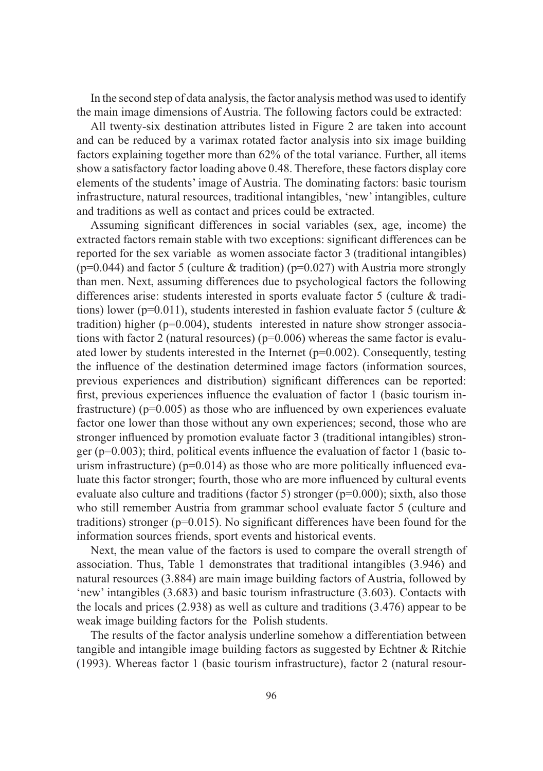In the second step of data analysis, the factor analysis method was used to identify the main image dimensions of Austria. The following factors could be extracted:

All twenty-six destination attributes listed in Figure 2 are taken into account and can be reduced by a varimax rotated factor analysis into six image building factors explaining together more than 62% of the total variance. Further, all items show a satisfactory factor loading above 0.48. Therefore, these factors display core elements of the students' image of Austria. The dominating factors: basic tourism infrastructure, natural resources, traditional intangibles, 'new' intangibles, culture and traditions as well as contact and prices could be extracted.

Assuming significant differences in social variables (sex, age, income) the extracted factors remain stable with two exceptions: significant differences can be reported for the sex variable as women associate factor 3 (traditional intangibles) ( $p=0.044$ ) and factor 5 (culture & tradition) ( $p=0.027$ ) with Austria more strongly than men. Next, assuming differences due to psychological factors the following differences arise: students interested in sports evaluate factor 5 (culture & traditions) lower ( $p=0.011$ ), students interested in fashion evaluate factor 5 (culture & tradition) higher ( $p=0.004$ ), students interested in nature show stronger associations with factor 2 (natural resources) ( $p=0.006$ ) whereas the same factor is evaluated lower by students interested in the Internet  $(p=0.002)$ . Consequently, testing the influence of the destination determined image factors (information sources, previous experiences and distribution) significant differences can be reported: first, previous experiences influence the evaluation of factor 1 (basic tourism infrastructure) ( $p=0.005$ ) as those who are influenced by own experiences evaluate factor one lower than those without any own experiences; second, those who are stronger influenced by promotion evaluate factor 3 (traditional intangibles) stronger ( $p=0.003$ ); third, political events influence the evaluation of factor 1 (basic tourism infrastructure) ( $p=0.014$ ) as those who are more politically influenced evaluate this factor stronger; fourth, those who are more influenced by cultural events evaluate also culture and traditions (factor 5) stronger ( $p=0.000$ ); sixth, also those who still remember Austria from grammar school evaluate factor 5 (culture and traditions) stronger ( $p=0.015$ ). No significant differences have been found for the information sources friends, sport events and historical events.

Next, the mean value of the factors is used to compare the overall strength of association. Thus, Table 1 demonstrates that traditional intangibles (3.946) and natural resources (3.884) are main image building factors of Austria, followed by 'new' intangibles (3.683) and basic tourism infrastructure (3.603). Contacts with the locals and prices (2.938) as well as culture and traditions (3.476) appear to be weak image building factors for the Polish students.

The results of the factor analysis underline somehow a differentiation between tangible and intangible image building factors as suggested by Echtner & Ritchie (1993). Whereas factor 1 (basic tourism infrastructure), factor 2 (natural resour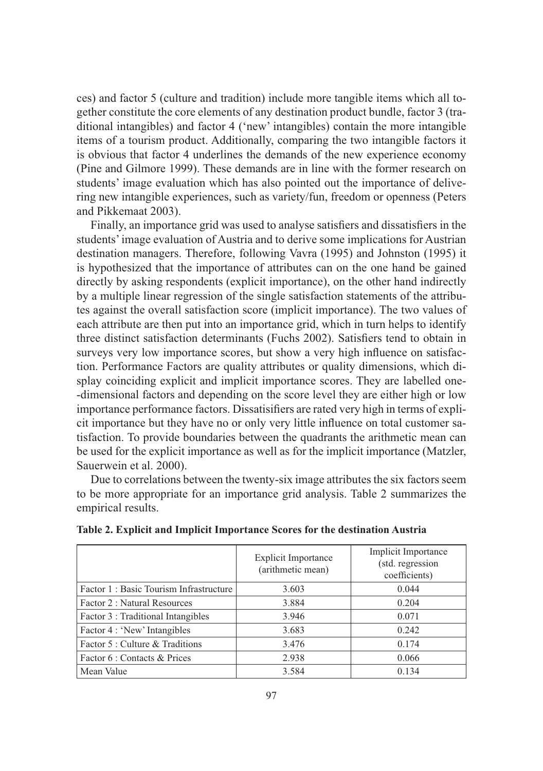ces) and factor 5 (culture and tradition) include more tangible items which all together constitute the core elements of any destination product bundle, factor 3 (traditional intangibles) and factor 4 ('new' intangibles) contain the more intangible items of a tourism product. Additionally, comparing the two intangible factors it is obvious that factor 4 underlines the demands of the new experience economy (Pine and Gilmore 1999). These demands are in line with the former research on students' image evaluation which has also pointed out the importance of delivering new intangible experiences, such as variety/fun, freedom or openness (Peters and Pikkemaat 2003).

Finally, an importance grid was used to analyse satisfiers and dissatisfiers in the students' image evaluation of Austria and to derive some implications for Austrian destination managers. Therefore, following Vavra (1995) and Johnston (1995) it is hypothesized that the importance of attributes can on the one hand be gained directly by asking respondents (explicit importance), on the other hand indirectly by a multiple linear regression of the single satisfaction statements of the attributes against the overall satisfaction score (implicit importance). The two values of each attribute are then put into an importance grid, which in turn helps to identify three distinct satisfaction determinants (Fuchs 2002). Satisfiers tend to obtain in surveys very low importance scores, but show a very high influence on satisfaction. Performance Factors are quality attributes or quality dimensions, which display coinciding explicit and implicit importance scores. They are labelled one- -dimensional factors and depending on the score level they are either high or low importance performance factors. Dissatisifiers are rated very high in terms of explicit importance but they have no or only very little influence on total customer satisfaction. To provide boundaries between the quadrants the arithmetic mean can be used for the explicit importance as well as for the implicit importance (Matzler, Sauerwein et al. 2000).

Due to correlations between the twenty-six image attributes the six factors seem to be more appropriate for an importance grid analysis. Table 2 summarizes the empirical results.

|                                        | Explicit Importance<br>(arithmetic mean) | Implicit Importance<br>(std. regression<br>coefficients) |
|----------------------------------------|------------------------------------------|----------------------------------------------------------|
| Factor 1: Basic Tourism Infrastructure | 3.603                                    | 0.044                                                    |
| Factor 2 : Natural Resources           | 3.884                                    | 0.204                                                    |
| Factor 3 : Traditional Intangibles     | 3.946                                    | 0.071                                                    |
| Factor 4 : 'New' Intangibles           | 3.683                                    | 0.242                                                    |
| Factor 5 : Culture & Traditions        | 3.476                                    | 0.174                                                    |
| Factor 6 : Contacts & Prices           | 2.938                                    | 0.066                                                    |
| Mean Value                             | 3.584                                    | 0.134                                                    |

**Table 2. Explicit and Implicit Importance Scores for the destination Austria**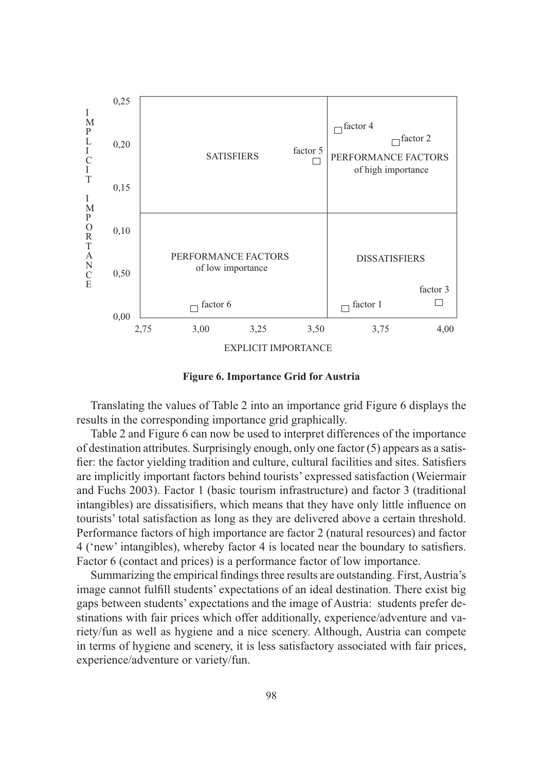

**Figure 6. Importance Grid for Austria**

Translating the values of Table 2 into an importance grid Figure 6 displays the results in the corresponding importance grid graphically.

Table 2 and Figure 6 can now be used to interpret differences of the importance of destination attributes. Surprisingly enough, only one factor (5) appears as a satisfier: the factor yielding tradition and culture, cultural facilities and sites. Satisfiers are implicitly important factors behind tourists' expressed satisfaction (Weiermair and Fuchs 2003). Factor 1 (basic tourism infrastructure) and factor 3 (traditional intangibles) are dissatisifiers, which means that they have only little influence on tourists' total satisfaction as long as they are delivered above a certain threshold. Performance factors of high importance are factor 2 (natural resources) and factor 4 ('new' intangibles), whereby factor 4 is located near the boundary to satisfiers. Factor 6 (contact and prices) is a performance factor of low importance.

Summarizing the empirical findings three results are outstanding. First, Austria's image cannot fulfill students' expectations of an ideal destination. There exist big gaps between students' expectations and the image of Austria: students prefer destinations with fair prices which offer additionally, experience/adventure and variety/fun as well as hygiene and a nice scenery. Although, Austria can compete in terms of hygiene and scenery, it is less satisfactory associated with fair prices, experience/adventure or variety/fun.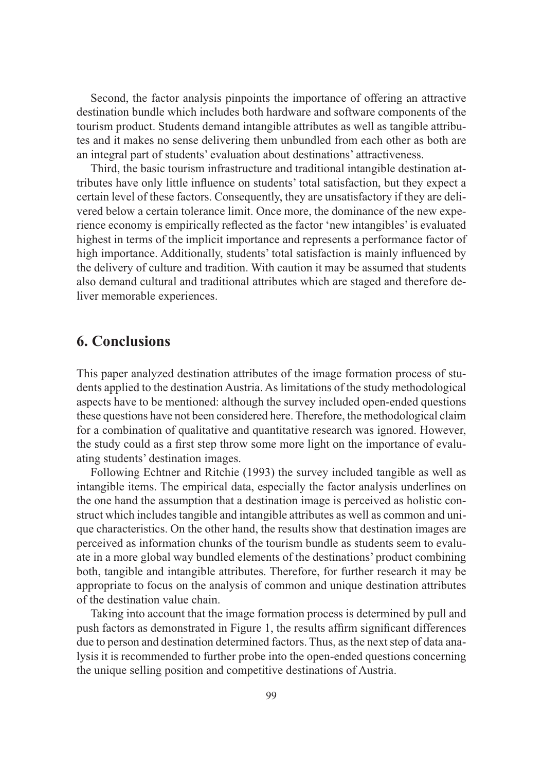Second, the factor analysis pinpoints the importance of offering an attractive destination bundle which includes both hardware and software components of the tourism product. Students demand intangible attributes as well as tangible attributes and it makes no sense delivering them unbundled from each other as both are an integral part of students' evaluation about destinations' attractiveness.

Third, the basic tourism infrastructure and traditional intangible destination attributes have only little influence on students' total satisfaction, but they expect a certain level of these factors. Consequently, they are unsatisfactory if they are delivered below a certain tolerance limit. Once more, the dominance of the new experience economy is empirically reflected as the factor 'new intangibles' is evaluated highest in terms of the implicit importance and represents a performance factor of high importance. Additionally, students' total satisfaction is mainly influenced by the delivery of culture and tradition. With caution it may be assumed that students also demand cultural and traditional attributes which are staged and therefore deliver memorable experiences.

### **6. Conclusions**

This paper analyzed destination attributes of the image formation process of students applied to the destination Austria. As limitations of the study methodological aspects have to be mentioned: although the survey included open-ended questions these questions have not been considered here. Therefore, the methodological claim for a combination of qualitative and quantitative research was ignored. However, the study could as a first step throw some more light on the importance of evaluating students' destination images.

Following Echtner and Ritchie (1993) the survey included tangible as well as intangible items. The empirical data, especially the factor analysis underlines on the one hand the assumption that a destination image is perceived as holistic construct which includes tangible and intangible attributes as well as common and unique characteristics. On the other hand, the results show that destination images are perceived as information chunks of the tourism bundle as students seem to evaluate in a more global way bundled elements of the destinations' product combining both, tangible and intangible attributes. Therefore, for further research it may be appropriate to focus on the analysis of common and unique destination attributes of the destination value chain.

Taking into account that the image formation process is determined by pull and push factors as demonstrated in Figure 1, the results affirm significant differences due to person and destination determined factors. Thus, as the next step of data analysis it is recommended to further probe into the open-ended questions concerning the unique selling position and competitive destinations of Austria.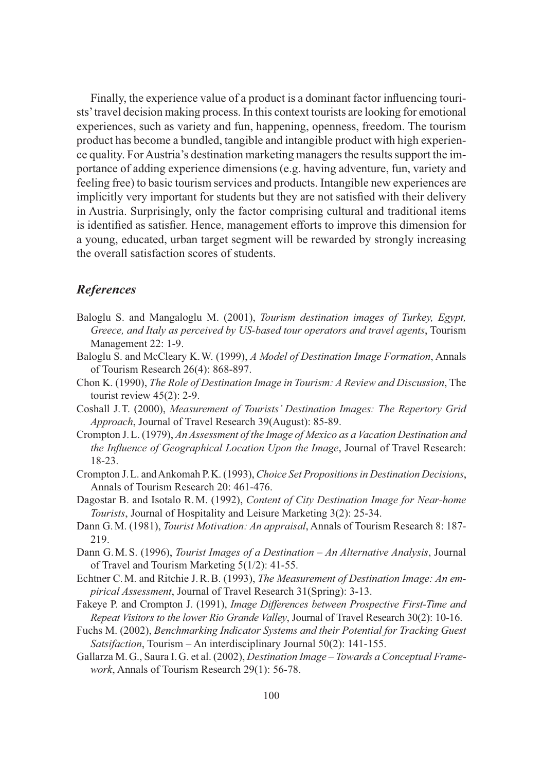Finally, the experience value of a product is a dominant factor influencing tourists' travel decision making process. In this context tourists are looking for emotional experiences, such as variety and fun, happening, openness, freedom. The tourism product has become a bundled, tangible and intangible product with high experience quality. For Austria's destination marketing managers the results support the importance of adding experience dimensions (e.g. having adventure, fun, variety and feeling free) to basic tourism services and products. Intangible new experiences are implicitly very important for students but they are not satisfied with their delivery in Austria. Surprisingly, only the factor comprising cultural and traditional items is identified as satisfier. Hence, management efforts to improve this dimension for a young, educated, urban target segment will be rewarded by strongly increasing the overall satisfaction scores of students.

#### *References*

- Baloglu S. and Mangaloglu M. (2001), *Tourism destination images of Turkey, Egypt, Greece, and Italy as perceived by US-based tour operators and travel agents*, Tourism Management 22: 1-9.
- Baloglu S. and McCleary K. W. (1999), *A Model of Destination Image Formation*, Annals of Tourism Research 26(4): 868-897.
- Chon K. (1990), *The Role of Destination Image in Tourism: A Review and Discussion*, The tourist review 45(2): 2-9.
- Coshall J. T. (2000), *Measurement of Tourists' Destination Images: The Repertory Grid Approach*, Journal of Travel Research 39(August): 85-89.
- Crompton J. L. (1979), *An Assessment of the Image of Mexico as a Vacation Destination and the Influence of Geographical Location Upon the Image*, Journal of Travel Research: 18-23.
- Crompton J. L. and Ankomah P. K. (1993), *Choice Set Propositions in Destination Decisions*, Annals of Tourism Research 20: 461-476.
- Dagostar B. and Isotalo R. M. (1992), *Content of City Destination Image for Near-home Tourists*, Journal of Hospitality and Leisure Marketing 3(2): 25-34.
- Dann G. M. (1981), *Tourist Motivation: An appraisal*, Annals of Tourism Research 8: 187- 219.
- Dann G. M. S. (1996), *Tourist Images of a Destination An Alternative Analysis*, Journal of Travel and Tourism Marketing 5(1/2): 41-55.
- Echtner C. M. and Ritchie J. R. B. (1993), *The Measurement of Destination Image: An empirical Assessment*, Journal of Travel Research 31(Spring): 3-13.
- Fakeye P. and Crompton J. (1991), *Image Differences between Prospective First-Time and Repeat Visitors to the lower Rio Grande Valley*, Journal of Travel Research 30(2): 10-16.
- Fuchs M. (2002), *Benchmarking Indicator Systems and their Potential for Tracking Guest Satsifaction*, Tourism – An interdisciplinary Journal 50(2): 141-155.
- Gallarza M. G., Saura I. G. et al. (2002), *Destination Image Towards a Conceptual Framework*, Annals of Tourism Research 29(1): 56-78.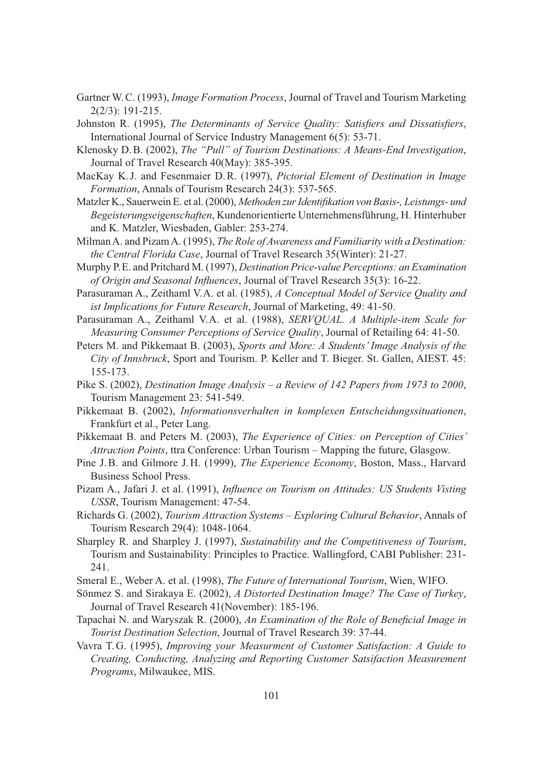- Gartner W. C. (1993), *Image Formation Process*, Journal of Travel and Tourism Marketing 2(2/3): 191-215.
- Johnston R. (1995), *The Determinants of Service Quality: Satisfiers and Dissatisfiers*, International Journal of Service Industry Management 6(5): 53-71.
- Klenosky D. B. (2002), *The "Pull" of Tourism Destinations: A Means-End Investigation*, Journal of Travel Research 40(May): 385-395.
- MacKay K. J. and Fesenmaier D. R. (1997), *Pictorial Element of Destination in Image Formation*, Annals of Tourism Research 24(3): 537-565.
- Matzler K., Sauerwein E. et al. (2000), *Methoden zur Identifikation von Basis-, Leistungs- und Begeisterungseigenschaften*, Kundenorientierte Unternehmensführung, H. Hinterhuber and K. Matzler, Wiesbaden, Gabler: 253-274.
- Milman A. and Pizam A. (1995), *The Role of Awareness and Familiarity with a Destination: the Central Florida Case*, Journal of Travel Research 35(Winter): 21-27.
- Murphy P. E. and Pritchard M. (1997), *Destination Price-value Perceptions: an Examination of Origin and Seasonal Influences*, Journal of Travel Research 35(3): 16-22.
- Parasuraman A., Zeithaml V. A. et al. (1985), *A Conceptual Model of Service Quality and ist Implications for Future Research*, Journal of Marketing, 49: 41-50.
- Parasuraman A., Zeithaml V. A. et al. (1988), *SERVQUAL. A Multiple-item Scale for Measuring Consumer Perceptions of Service Quality*, Journal of Retailing 64: 41-50.
- Peters M. and Pikkemaat B. (2003), *Sports and More: A Students' Image Analysis of the City of Innsbruck*, Sport and Tourism. P. Keller and T. Bieger. St. Gallen, AIEST. 45: 155-173.
- Pike S. (2002), *Destination Image Analysis a Review of 142 Papers from 1973 to 2000*, Tourism Management 23: 541-549.
- Pikkemaat B. (2002), *Informationsverhalten in komplexen Entscheidungssituationen*, Frankfurt et al., Peter Lang.
- Pikkemaat B. and Peters M. (2003), *The Experience of Cities: on Perception of Cities' Attraction Points*, ttra Conference: Urban Tourism – Mapping the future, Glasgow.
- Pine J. B. and Gilmore J. H. (1999), *The Experience Economy*, Boston, Mass., Harvard Business School Press.
- Pizam A., Jafari J. et al. (1991), *Influence on Tourism on Attitudes: US Students Visting USSR*, Tourism Management: 47-54.
- Richards G. (2002), *Tourism Attraction Systems Exploring Cultural Behavior*, Annals of Tourism Research 29(4): 1048-1064.
- Sharpley R. and Sharpley J. (1997), *Sustainability and the Competitiveness of Tourism*, Tourism and Sustainability: Principles to Practice. Wallingford, CABI Publisher: 231- 241.
- Smeral E., Weber A. et al. (1998), *The Future of International Tourism*, Wien, WIFO.
- Sönmez S. and Sirakaya E. (2002), *A Distorted Destination Image? The Case of Turkey*, Journal of Travel Research 41(November): 185-196.
- Tapachai N. and Waryszak R. (2000), *An Examination of the Role of Beneficial Image in Tourist Destination Selection*, Journal of Travel Research 39: 37-44.
- Vavra T. G. (1995), *Improving your Measurment of Customer Satisfaction: A Guide to Creating, Conducting, Analyzing and Reporting Customer Satsifaction Measurement Programs*, Milwaukee, MIS.